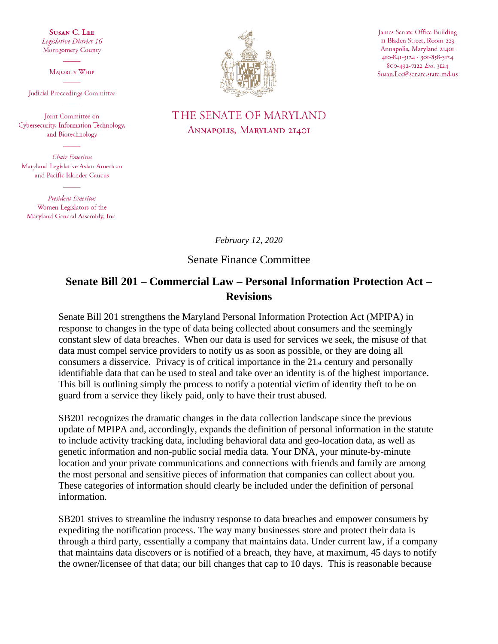**SUSAN C. LEE** Legislative District 16 Montgomery County

MAJORITY WHIP

Judicial Proceedings Committee

Joint Committee on Cybersecurity, Information Technology, and Biotechnology

Chair Emeritus Maryland Legislative Asian American and Pacific Islander Caucus

**President Emeritus** Women Legislators of the Maryland General Assembly, Inc.



James Senate Office Building II Bladen Street, Room 223 Annapolis, Maryland 21401 410-841-3124 - 301-858-3124 800-492-7122 Ext. 3124 Susan.Lee@senate.state.md.us

## THE SENATE OF MARYLAND ANNAPOLIS, MARYLAND 21401

*February 12, 2020*

Senate Finance Committee

## **Senate Bill 201 – Commercial Law – Personal Information Protection Act – Revisions**

Senate Bill 201 strengthens the Maryland Personal Information Protection Act (MPIPA) in response to changes in the type of data being collected about consumers and the seemingly constant slew of data breaches. When our data is used for services we seek, the misuse of that data must compel service providers to notify us as soon as possible, or they are doing all consumers a disservice. Privacy is of critical importance in the  $21<sub>st</sub>$  century and personally identifiable data that can be used to steal and take over an identity is of the highest importance. This bill is outlining simply the process to notify a potential victim of identity theft to be on guard from a service they likely paid, only to have their trust abused.

SB201 recognizes the dramatic changes in the data collection landscape since the previous update of MPIPA and, accordingly, expands the definition of personal information in the statute to include activity tracking data, including behavioral data and geo-location data, as well as genetic information and non-public social media data. Your DNA, your minute-by-minute location and your private communications and connections with friends and family are among the most personal and sensitive pieces of information that companies can collect about you. These categories of information should clearly be included under the definition of personal information.

SB201 strives to streamline the industry response to data breaches and empower consumers by expediting the notification process. The way many businesses store and protect their data is through a third party, essentially a company that maintains data. Under current law, if a company that maintains data discovers or is notified of a breach, they have, at maximum, 45 days to notify the owner/licensee of that data; our bill changes that cap to 10 days. This is reasonable because